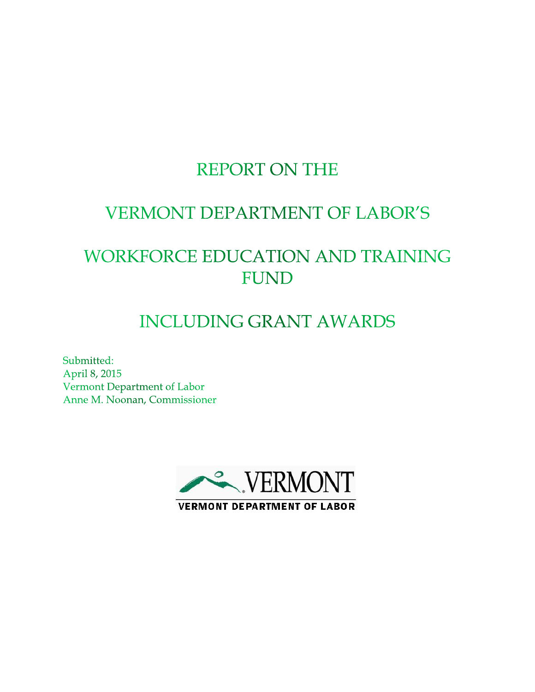# **REPORT ON THE**

# **VERMONT DEPARTMENT OF LABOR'S**

# **WORKFORCE EDUCATION AND TRAINING FUND**

# **INCLUDING GRANT AWARDS**

Submitted: April 8, 2015 Vermont Department of Labor Anne M. Noonan, Commissioner

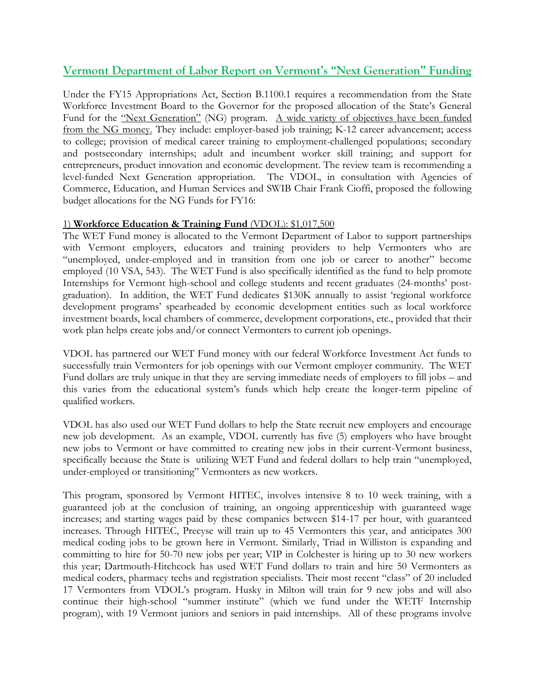### **Vermont Department of Labor Report on Vermont's "Next Generation" Funding**

Under the FY15 Appropriations Act, Section B.1100.1 requires a recommendation from the State Workforce Investment Board to the Governor for the proposed allocation of the State's General Fund for the "Next Generation" (NG) program. A wide variety of objectives have been funded from the NG money. They include: employer-based job training; K-12 career advancement; access to college; provision of medical career training to employment-challenged populations; secondary and postsecondary internships; adult and incumbent worker skill training; and support for entrepreneurs, product innovation and economic development. The review team is recommending a level-funded Next Generation appropriation. The VDOL, in consultation with Agencies of Commerce, Education, and Human Services and SWIB Chair Frank Cioffi, proposed the following budget allocations for the NG Funds for FY16:

#### 1) **Workforce Education & Training Fund** (VDOL): \$1,017,500

The WET Fund money is allocated to the Vermont Department of Labor to support partnerships with Vermont employers, educators and training providers to help Vermonters who are "unemployed, under-employed and in transition from one job or career to another" become employed (10 VSA, 543). The WET Fund is also specifically identified as the fund to help promote Internships for Vermont high-school and college students and recent graduates (24-months' postgraduation). In addition, the WET Fund dedicates \$130K annually to assist 'regional workforce development programs' spearheaded by economic development entities such as local workforce investment boards, local chambers of commerce, development corporations, etc., provided that their work plan helps create jobs and/or connect Vermonters to current job openings.

VDOL has partnered our WET Fund money with our federal Workforce Investment Act funds to successfully train Vermonters for job openings with our Vermont employer community. The WET Fund dollars are truly unique in that they are serving immediate needs of employers to fill jobs – and this varies from the educational system's funds which help create the longer-term pipeline of qualified workers.

VDOL has also used our WET Fund dollars to help the State recruit new employers and encourage new job development. As an example, VDOL currently has five (5) employers who have brought new jobs to Vermont or have committed to creating new jobs in their current-Vermont business, specifically because the State is utilizing WET Fund and federal dollars to help train "unemployed, under-employed or transitioning" Vermonters as new workers.

This program, sponsored by Vermont HITEC, involves intensive 8 to 10 week training, with a guaranteed job at the conclusion of training, an ongoing apprenticeship with guaranteed wage increases; and starting wages paid by these companies between \$14-17 per hour, with guaranteed increases. Through HITEC, Precyse will train up to 45 Vermonters this year, and anticipates 300 medical coding jobs to be grown here in Vermont. Similarly, Triad in Williston is expanding and committing to hire for 50-70 new jobs per year; VIP in Colchester is hiring up to 30 new workers this year; Dartmouth-Hitchcock has used WET Fund dollars to train and hire 50 Vermonters as medical coders, pharmacy techs and registration specialists. Their most recent "class" of 20 included 17 Vermonters from VDOL's program. Husky in Milton will train for 9 new jobs and will also continue their high-school "summer institute" (which we fund under the WETF Internship program), with 19 Vermont juniors and seniors in paid internships. All of these programs involve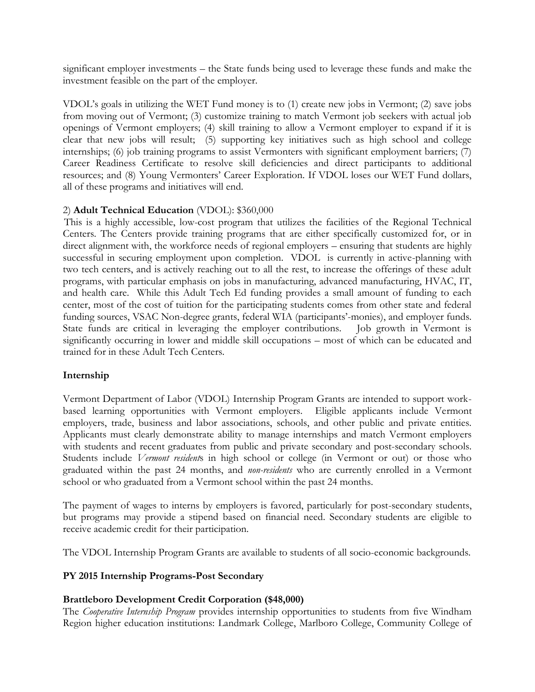significant employer investments – the State funds being used to leverage these funds and make the investment feasible on the part of the employer.

VDOL's goals in utilizing the WET Fund money is to (1) create new jobs in Vermont; (2) save jobs from moving out of Vermont; (3) customize training to match Vermont job seekers with actual job openings of Vermont employers; (4) skill training to allow a Vermont employer to expand if it is clear that new jobs will result; (5) supporting key initiatives such as high school and college internships; (6) job training programs to assist Vermonters with significant employment barriers; (7) Career Readiness Certificate to resolve skill deficiencies and direct participants to additional resources; and (8) Young Vermonters' Career Exploration. If VDOL loses our WET Fund dollars, all of these programs and initiatives will end.

#### 2) **Adult Technical Education** (VDOL): \$360,000

 This is a highly accessible, low-cost program that utilizes the facilities of the Regional Technical Centers. The Centers provide training programs that are either specifically customized for, or in direct alignment with, the workforce needs of regional employers – ensuring that students are highly successful in securing employment upon completion. VDOL is currently in active-planning with two tech centers, and is actively reaching out to all the rest, to increase the offerings of these adult programs, with particular emphasis on jobs in manufacturing, advanced manufacturing, HVAC, IT, and health care. While this Adult Tech Ed funding provides a small amount of funding to each center, most of the cost of tuition for the participating students comes from other state and federal funding sources, VSAC Non-degree grants, federal WIA (participants'-monies), and employer funds. State funds are critical in leveraging the employer contributions. Job growth in Vermont is significantly occurring in lower and middle skill occupations – most of which can be educated and trained for in these Adult Tech Centers.

#### **Internship**

Vermont Department of Labor (VDOL) Internship Program Grants are intended to support workbased learning opportunities with Vermont employers. Eligible applicants include Vermont employers, trade, business and labor associations, schools, and other public and private entities. Applicants must clearly demonstrate ability to manage internships and match Vermont employers with students and recent graduates from public and private secondary and post-secondary schools. Students include *Vermont resident*s in high school or college (in Vermont or out) or those who graduated within the past 24 months, and *non-residents* who are currently enrolled in a Vermont school or who graduated from a Vermont school within the past 24 months.

The payment of wages to interns by employers is favored, particularly for post-secondary students, but programs may provide a stipend based on financial need. Secondary students are eligible to receive academic credit for their participation.

The VDOL Internship Program Grants are available to students of all socio-economic backgrounds.

#### **PY 2015 Internship Programs-Post Secondary**

#### **Brattleboro Development Credit Corporation (\$48,000)**

The *Cooperative Internship Program* provides internship opportunities to students from five Windham Region higher education institutions: Landmark College, Marlboro College, Community College of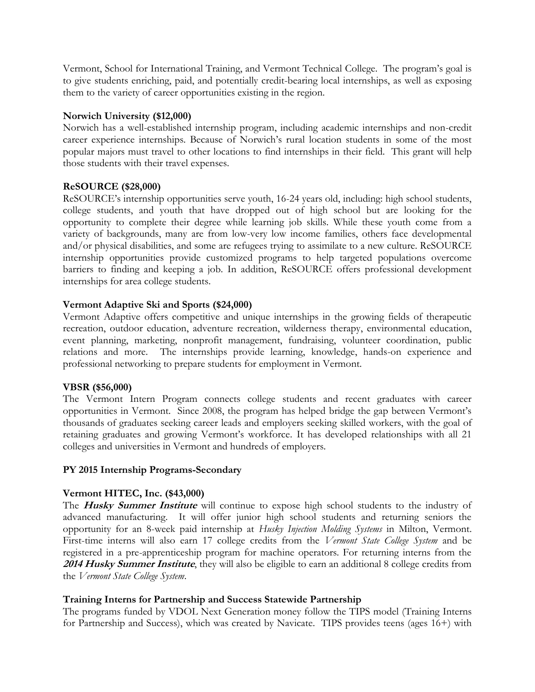Vermont, School for International Training, and Vermont Technical College. The program's goal is to give students enriching, paid, and potentially credit-bearing local internships, as well as exposing them to the variety of career opportunities existing in the region.

#### **Norwich University (\$12,000)**

Norwich has a well-established internship program, including academic internships and non-credit career experience internships. Because of Norwich's rural location students in some of the most popular majors must travel to other locations to find internships in their field. This grant will help those students with their travel expenses.

### **ReSOURCE (\$28,000)**

ReSOURCE's internship opportunities serve youth, 16-24 years old, including: high school students, college students, and youth that have dropped out of high school but are looking for the opportunity to complete their degree while learning job skills. While these youth come from a variety of backgrounds, many are from low-very low income families, others face developmental and/or physical disabilities, and some are refugees trying to assimilate to a new culture. ReSOURCE internship opportunities provide customized programs to help targeted populations overcome barriers to finding and keeping a job. In addition, ReSOURCE offers professional development internships for area college students.

### **Vermont Adaptive Ski and Sports (\$24,000)**

Vermont Adaptive offers competitive and unique internships in the growing fields of therapeutic recreation, outdoor education, adventure recreation, wilderness therapy, environmental education, event planning, marketing, nonprofit management, fundraising, volunteer coordination, public relations and more. The internships provide learning, knowledge, hands-on experience and professional networking to prepare students for employment in Vermont.

#### **VBSR (\$56,000)**

The Vermont Intern Program connects college students and recent graduates with career opportunities in Vermont. Since 2008, the program has helped bridge the gap between Vermont's thousands of graduates seeking career leads and employers seeking skilled workers, with the goal of retaining graduates and growing Vermont's workforce. It has developed relationships with all 21 colleges and universities in Vermont and hundreds of employers.

#### **PY 2015 Internship Programs-Secondary**

### **Vermont HITEC, Inc. (\$43,000)**

The **Husky Summer Institute** will continue to expose high school students to the industry of advanced manufacturing. It will offer junior high school students and returning seniors the opportunity for an 8-week paid internship at *Husky Injection Molding Systems* in Milton, Vermont. First-time interns will also earn 17 college credits from the *Vermont State College System* and be registered in a pre-apprenticeship program for machine operators. For returning interns from the **<sup>2014</sup> Husky Summer Institute**, they will also be eligible to earn an additional 8 college credits from the *Vermont State College System*.

#### **Training Interns for Partnership and Success Statewide Partnership**

The programs funded by VDOL Next Generation money follow the TIPS model (Training Interns for Partnership and Success), which was created by Navicate. TIPS provides teens (ages 16+) with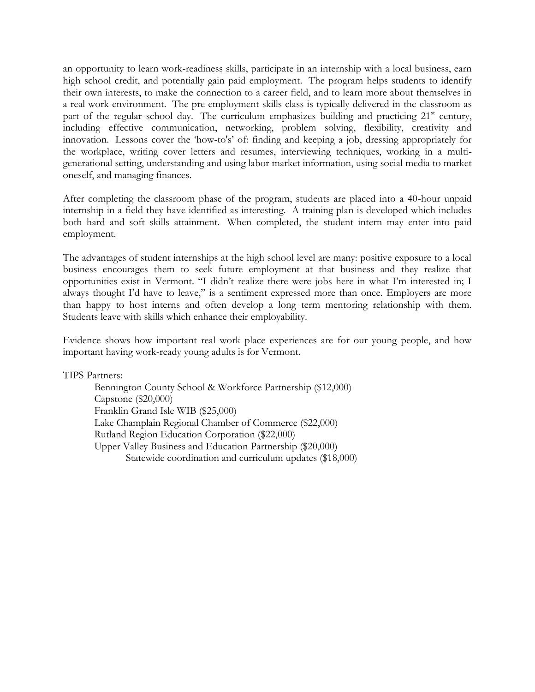an opportunity to learn work-readiness skills, participate in an internship with a local business, earn high school credit, and potentially gain paid employment. The program helps students to identify their own interests, to make the connection to a career field, and to learn more about themselves in a real work environment. The pre-employment skills class is typically delivered in the classroom as part of the regular school day. The curriculum emphasizes building and practicing  $21<sup>st</sup>$  century, including effective communication, networking, problem solving, flexibility, creativity and innovation. Lessons cover the 'how-to's' of: finding and keeping a job, dressing appropriately for the workplace, writing cover letters and resumes, interviewing techniques, working in a multigenerational setting, understanding and using labor market information, using social media to market oneself, and managing finances.

After completing the classroom phase of the program, students are placed into a 40-hour unpaid internship in a field they have identified as interesting. A training plan is developed which includes both hard and soft skills attainment. When completed, the student intern may enter into paid employment.

The advantages of student internships at the high school level are many: positive exposure to a local business encourages them to seek future employment at that business and they realize that opportunities exist in Vermont. "I didn't realize there were jobs here in what I'm interested in; I always thought I'd have to leave," is a sentiment expressed more than once. Employers are more than happy to host interns and often develop a long term mentoring relationship with them. Students leave with skills which enhance their employability.

Evidence shows how important real work place experiences are for our young people, and how important having work-ready young adults is for Vermont.

TIPS Partners:

Bennington County School & Workforce Partnership (\$12,000) Capstone (\$20,000) Franklin Grand Isle WIB (\$25,000) Lake Champlain Regional Chamber of Commerce (\$22,000) Rutland Region Education Corporation (\$22,000) Upper Valley Business and Education Partnership (\$20,000) Statewide coordination and curriculum updates (\$18,000)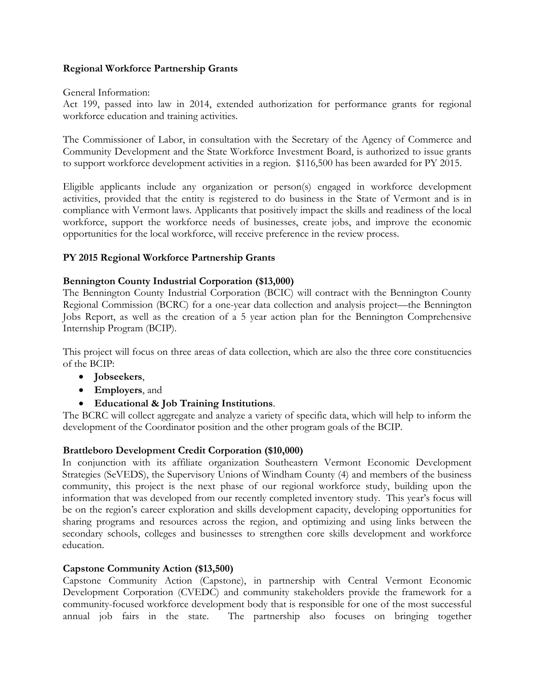#### **Regional Workforce Partnership Grants**

General Information:

Act 199, passed into law in 2014, extended authorization for performance grants for regional workforce education and training activities.

The Commissioner of Labor, in consultation with the Secretary of the Agency of Commerce and Community Development and the State Workforce Investment Board, is authorized to issue grants to support workforce development activities in a region. \$116,500 has been awarded for PY 2015.

Eligible applicants include any organization or person(s) engaged in workforce development activities, provided that the entity is registered to do business in the State of Vermont and is in compliance with Vermont laws. Applicants that positively impact the skills and readiness of the local workforce, support the workforce needs of businesses, create jobs, and improve the economic opportunities for the local workforce, will receive preference in the review process.

#### **PY 2015 Regional Workforce Partnership Grants**

#### **Bennington County Industrial Corporation (\$13,000)**

The Bennington County Industrial Corporation (BCIC) will contract with the Bennington County Regional Commission (BCRC) for a one-year data collection and analysis project—the Bennington Jobs Report, as well as the creation of a 5 year action plan for the Bennington Comprehensive Internship Program (BCIP).

This project will focus on three areas of data collection, which are also the three core constituencies of the BCIP:

- **Jobseekers**,
- **Employers**, and
- **Educational & Job Training Institutions**.

The BCRC will collect aggregate and analyze a variety of specific data, which will help to inform the development of the Coordinator position and the other program goals of the BCIP.

#### **Brattleboro Development Credit Corporation (\$10,000)**

In conjunction with its affiliate organization Southeastern Vermont Economic Development Strategies (SeVEDS), the Supervisory Unions of Windham County (4) and members of the business community, this project is the next phase of our regional workforce study, building upon the information that was developed from our recently completed inventory study. This year's focus will be on the region's career exploration and skills development capacity, developing opportunities for sharing programs and resources across the region, and optimizing and using links between the secondary schools, colleges and businesses to strengthen core skills development and workforce education.

#### **Capstone Community Action (\$13,500)**

Capstone Community Action (Capstone), in partnership with Central Vermont Economic Development Corporation (CVEDC) and community stakeholders provide the framework for a community-focused workforce development body that is responsible for one of the most successful annual job fairs in the state. The partnership also focuses on bringing together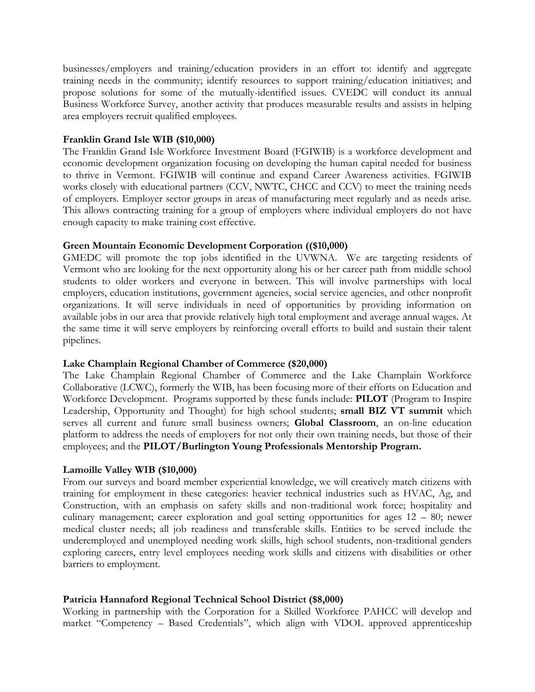businesses/employers and training/education providers in an effort to: identify and aggregate training needs in the community; identify resources to support training/education initiatives; and propose solutions for some of the mutually-identified issues*.* CVEDC will conduct its annual Business Workforce Survey, another activity that produces measurable results and assists in helping area employers recruit qualified employees.

#### **Franklin Grand Isle WIB (\$10,000)**

The Franklin Grand Isle Workforce Investment Board (FGIWIB) is a workforce development and economic development organization focusing on developing the human capital needed for business to thrive in Vermont. FGIWIB will continue and expand Career Awareness activities. FGIWIB works closely with educational partners (CCV, NWTC, CHCC and CCV) to meet the training needs of employers. Employer sector groups in areas of manufacturing meet regularly and as needs arise. This allows contracting training for a group of employers where individual employers do not have enough capacity to make training cost effective.

#### **Green Mountain Economic Development Corporation ((\$10,000)**

GMEDC will promote the top jobs identified in the UVWNA. We are targeting residents of Vermont who are looking for the next opportunity along his or her career path from middle school students to older workers and everyone in between. This will involve partnerships with local employers, education institutions, government agencies, social service agencies, and other nonprofit organizations. It will serve individuals in need of opportunities by providing information on available jobs in our area that provide relatively high total employment and average annual wages. At the same time it will serve employers by reinforcing overall efforts to build and sustain their talent pipelines.

#### **Lake Champlain Regional Chamber of Commerce (\$20,000)**

The Lake Champlain Regional Chamber of Commerce and the Lake Champlain Workforce Collaborative (LCWC), formerly the WIB, has been focusing more of their efforts on Education and Workforce Development. Programs supported by these funds include: **PILOT** (Program to Inspire Leadership, Opportunity and Thought) for high school students; **small BIZ VT summit** which serves all current and future small business owners; **Global Classroom**, an on-line education platform to address the needs of employers for not only their own training needs, but those of their employees; and the **PILOT/Burlington Young Professionals Mentorship Program.**

#### **Lamoille Valley WIB (\$10,000)**

From our surveys and board member experiential knowledge, we will creatively match citizens with training for employment in these categories: heavier technical industries such as HVAC, Ag, and Construction, with an emphasis on safety skills and non-traditional work force; hospitality and culinary management; career exploration and goal setting opportunities for ages 12 – 80; newer medical cluster needs; all job readiness and transferable skills. Entities to be served include the underemployed and unemployed needing work skills, high school students, non-traditional genders exploring careers, entry level employees needing work skills and citizens with disabilities or other barriers to employment.

#### **Patricia Hannaford Regional Technical School District (\$8,000)**

Working in partnership with the Corporation for a Skilled Workforce PAHCC will develop and market "Competency – Based Credentials", which align with VDOL approved apprenticeship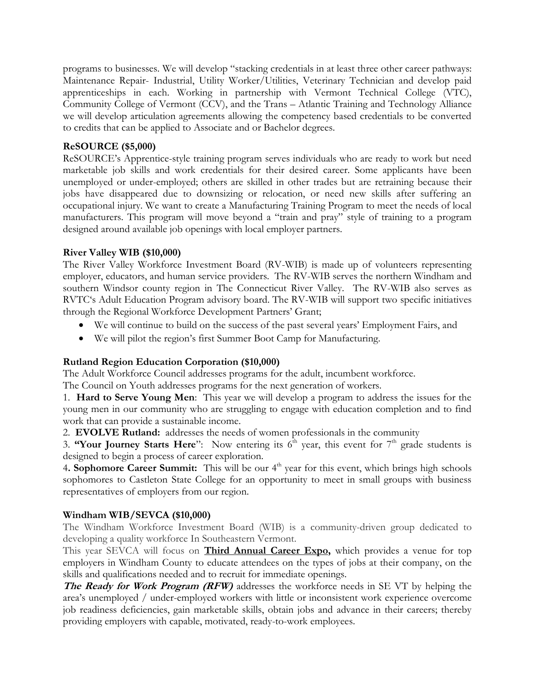programs to businesses. We will develop "stacking credentials in at least three other career pathways: Maintenance Repair- Industrial, Utility Worker/Utilities, Veterinary Technician and develop paid apprenticeships in each. Working in partnership with Vermont Technical College (VTC), Community College of Vermont (CCV), and the Trans – Atlantic Training and Technology Alliance we will develop articulation agreements allowing the competency based credentials to be converted to credits that can be applied to Associate and or Bachelor degrees.

### **ReSOURCE (\$5,000)**

ReSOURCE's Apprentice-style training program serves individuals who are ready to work but need marketable job skills and work credentials for their desired career. Some applicants have been unemployed or under-employed; others are skilled in other trades but are retraining because their jobs have disappeared due to downsizing or relocation, or need new skills after suffering an occupational injury. We want to create a Manufacturing Training Program to meet the needs of local manufacturers. This program will move beyond a "train and pray" style of training to a program designed around available job openings with local employer partners.

### **River Valley WIB (\$10,000)**

The River Valley Workforce Investment Board (RV-WIB) is made up of volunteers representing employer, educators, and human service providers. The RV-WIB serves the northern Windham and southern Windsor county region in The Connecticut River Valley. The RV-WIB also serves as RVTC's Adult Education Program advisory board. The RV-WIB will support two specific initiatives through the Regional Workforce Development Partners' Grant;

- We will continue to build on the success of the past several years' Employment Fairs, and
- We will pilot the region's first Summer Boot Camp for Manufacturing.

#### **Rutland Region Education Corporation (\$10,000)**

The Adult Workforce Council addresses programs for the adult, incumbent workforce.

The Council on Youth addresses programs for the next generation of workers.

1. **Hard to Serve Young Men**: This year we will develop a program to address the issues for the young men in our community who are struggling to engage with education completion and to find work that can provide a sustainable income.

2. **EVOLVE Rutland:** addresses the needs of women professionals in the community

3. **"Your Journey Starts Here**": Now entering its  $6<sup>th</sup>$  year, this event for  $7<sup>th</sup>$  grade students is designed to begin a process of career exploration.

4. Sophomore Career Summit: This will be our 4<sup>th</sup> year for this event, which brings high schools sophomores to Castleton State College for an opportunity to meet in small groups with business representatives of employers from our region.

#### **Windham WIB/SEVCA (\$10,000)**

The Windham Workforce Investment Board (WIB) is a community-driven group dedicated to developing a quality workforce In Southeastern Vermont.

This year SEVCA will focus on **Third Annual Career Expo,** which provides a venue for top employers in Windham County to educate attendees on the types of jobs at their company, on the skills and qualifications needed and to recruit for immediate openings.

**The Ready for Work Program (RFW)** addresses the workforce needs in SE VT by helping the area's unemployed / under-employed workers with little or inconsistent work experience overcome job readiness deficiencies, gain marketable skills, obtain jobs and advance in their careers; thereby providing employers with capable, motivated, ready-to-work employees.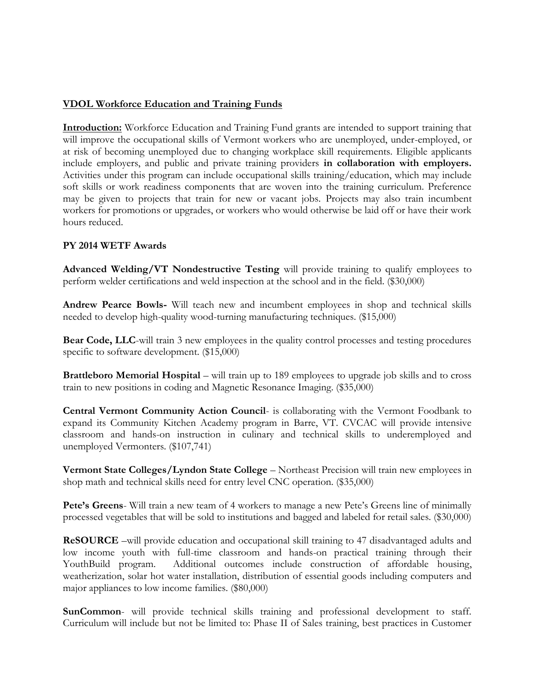### **VDOL Workforce Education and Training Funds**

**Introduction:** Workforce Education and Training Fund grants are intended to support training that will improve the occupational skills of Vermont workers who are unemployed, under-employed, or at risk of becoming unemployed due to changing workplace skill requirements. Eligible applicants include employers, and public and private training providers **in collaboration with employers.**  Activities under this program can include occupational skills training/education, which may include soft skills or work readiness components that are woven into the training curriculum. Preference may be given to projects that train for new or vacant jobs. Projects may also train incumbent workers for promotions or upgrades, or workers who would otherwise be laid off or have their work hours reduced.

#### **PY 2014 WETF Awards**

**Advanced Welding/VT Nondestructive Testing** will provide training to qualify employees to perform welder certifications and weld inspection at the school and in the field. (\$30,000)

**Andrew Pearce Bowls-** Will teach new and incumbent employees in shop and technical skills needed to develop high-quality wood-turning manufacturing techniques. (\$15,000)

**Bear Code, LLC**-will train 3 new employees in the quality control processes and testing procedures specific to software development. (\$15,000)

**Brattleboro Memorial Hospital** – will train up to 189 employees to upgrade job skills and to cross train to new positions in coding and Magnetic Resonance Imaging. (\$35,000)

**Central Vermont Community Action Council**- is collaborating with the Vermont Foodbank to expand its Community Kitchen Academy program in Barre, VT. CVCAC will provide intensive classroom and hands-on instruction in culinary and technical skills to underemployed and unemployed Vermonters. (\$107,741)

**Vermont State Colleges/Lyndon State College – Northeast Precision will train new employees in** shop math and technical skills need for entry level CNC operation. (\$35,000)

**Pete's Greens**- Will train a new team of 4 workers to manage a new Pete's Greens line of minimally processed vegetables that will be sold to institutions and bagged and labeled for retail sales. (\$30,000)

**ReSOURCE** –will provide education and occupational skill training to 47 disadvantaged adults and low income youth with full-time classroom and hands-on practical training through their YouthBuild program. Additional outcomes include construction of affordable housing, weatherization, solar hot water installation, distribution of essential goods including computers and major appliances to low income families. (\$80,000)

**SunCommon**- will provide technical skills training and professional development to staff. Curriculum will include but not be limited to: Phase II of Sales training, best practices in Customer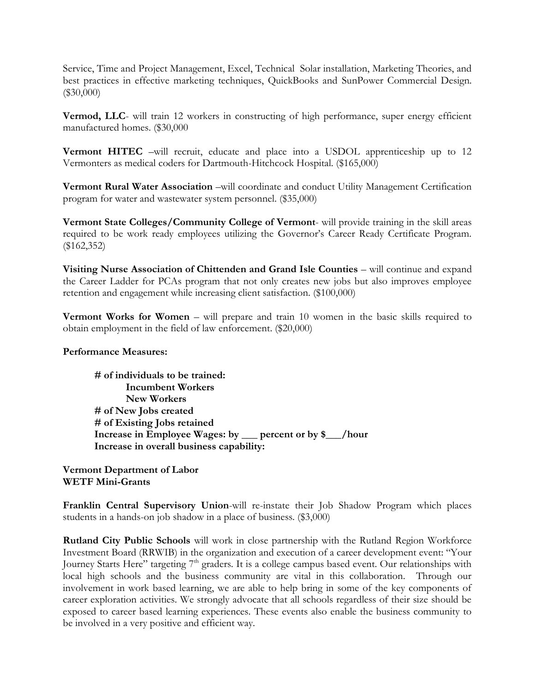Service, Time and Project Management, Excel, Technical Solar installation, Marketing Theories, and best practices in effective marketing techniques, QuickBooks and SunPower Commercial Design. (\$30,000)

**Vermod, LLC**- will train 12 workers in constructing of high performance, super energy efficient manufactured homes. (\$30,000

**Vermont HITEC** –will recruit, educate and place into a USDOL apprenticeship up to 12 Vermonters as medical coders for Dartmouth-Hitchcock Hospital. (\$165,000)

**Vermont Rural Water Association** –will coordinate and conduct Utility Management Certification program for water and wastewater system personnel. (\$35,000)

**Vermont State Colleges/Community College of Vermont**- will provide training in the skill areas required to be work ready employees utilizing the Governor's Career Ready Certificate Program. (\$162,352)

Visiting Nurse Association of Chittenden and Grand Isle Counties - will continue and expand the Career Ladder for PCAs program that not only creates new jobs but also improves employee retention and engagement while increasing client satisfaction. (\$100,000)

**Vermont Works for Women** – will prepare and train 10 women in the basic skills required to obtain employment in the field of law enforcement. (\$20,000)

#### **Performance Measures:**

**# of individuals to be trained: Incumbent Workers New Workers # of New Jobs created # of Existing Jobs retained Increase in Employee Wages: by \_\_\_ percent or by \$\_\_\_/hour Increase in overall business capability:**

**Vermont Department of Labor WETF Mini-Grants**

**Franklin Central Supervisory Union**-will re-instate their Job Shadow Program which places students in a hands-on job shadow in a place of business. (\$3,000)

**Rutland City Public Schools** will work in close partnership with the Rutland Region Workforce Investment Board (RRWIB) in the organization and execution of a career development event: "Your Journey Starts Here" targeting 7<sup>th</sup> graders. It is a college campus based event. Our relationships with local high schools and the business community are vital in this collaboration. Through our involvement in work based learning, we are able to help bring in some of the key components of career exploration activities. We strongly advocate that all schools regardless of their size should be exposed to career based learning experiences. These events also enable the business community to be involved in a very positive and efficient way.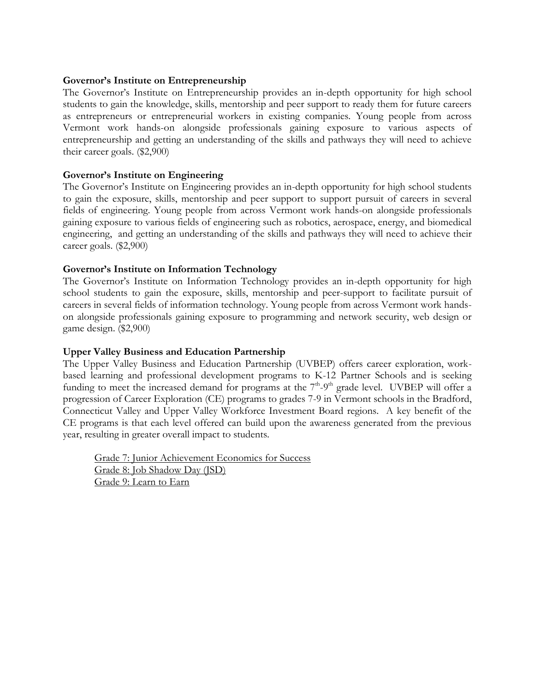#### Governor's Institute on Entrepreneurship

The Governor's Institute on Entrepreneurship provides an in-depth opportunity for high school students to gain the knowledge, skills, mentorship and peer support to ready them for future careers as entrepreneurs or entrepreneurial workers in existing companies. Young people from across Vermont work hands-on alongside professionals gaining exposure to various aspects of entrepreneurship and getting an understanding of the skills and pathways they will need to achieve their career goals. (\$2,900)

#### **Governor's Institute on Engineering**

The Governor's Institute on Engineering provides an in-depth opportunity for high school students to gain the exposure, skills, mentorship and peer support to support pursuit of careers in several fields of engineering. Young people from across Vermont work hands-on alongside professionals gaining exposure to various fields of engineering such as robotics, aerospace, energy, and biomedical engineering, and getting an understanding of the skills and pathways they will need to achieve their career goals. (\$2,900)

#### **Governor's Institute on Information Technology**

The Governor's Institute on Information Technology provides an in-depth opportunity for high school students to gain the exposure, skills, mentorship and peer-support to facilitate pursuit of careers in several fields of information technology. Young people from across Vermont work handson alongside professionals gaining exposure to programming and network security, web design or game design. (\$2,900)

#### **Upper Valley Business and Education Partnership**

The Upper Valley Business and Education Partnership (UVBEP) offers career exploration, workbased learning and professional development programs to K-12 Partner Schools and is seeking funding to meet the increased demand for programs at the  $7<sup>th</sup>-9<sup>th</sup>$  grade level. UVBEP will offer a progression of Career Exploration (CE) programs to grades 7-9 in Vermont schools in the Bradford, Connecticut Valley and Upper Valley Workforce Investment Board regions. A key benefit of the CE programs is that each level offered can build upon the awareness generated from the previous year, resulting in greater overall impact to students.

Grade 7: Junior Achievement Economics for Success Grade 8: Job Shadow Day (JSD) Grade 9: Learn to Earn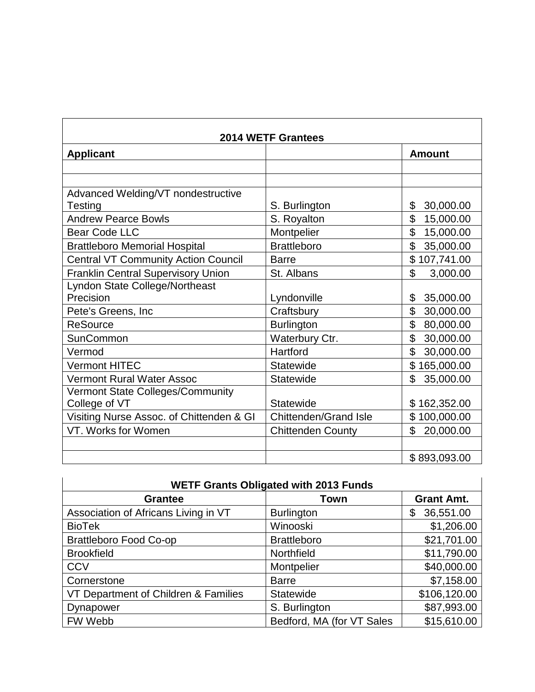| <b>2014 WETF Grantees</b>                  |                              |                             |
|--------------------------------------------|------------------------------|-----------------------------|
| <b>Applicant</b><br><b>Amount</b>          |                              |                             |
|                                            |                              |                             |
|                                            |                              |                             |
| Advanced Welding/VT nondestructive         |                              |                             |
| Testing                                    | S. Burlington                | \$<br>30,000.00             |
| <b>Andrew Pearce Bowls</b>                 | S. Royalton                  | \$<br>15,000.00             |
| <b>Bear Code LLC</b>                       | Montpelier                   | \$<br>15,000.00             |
| <b>Brattleboro Memorial Hospital</b>       | <b>Brattleboro</b>           | $\mathfrak{L}$<br>35,000.00 |
| <b>Central VT Community Action Council</b> | <b>Barre</b>                 | \$107,741.00                |
| <b>Franklin Central Supervisory Union</b>  | St. Albans                   | \$<br>3,000.00              |
| Lyndon State College/Northeast             |                              |                             |
| Precision                                  | Lyndonville                  | \$<br>35,000.00             |
| Pete's Greens, Inc                         | Craftsbury                   | \$<br>30,000.00             |
| <b>ReSource</b>                            | <b>Burlington</b>            | \$<br>80,000.00             |
| SunCommon                                  | Waterbury Ctr.               | $\mathfrak{L}$<br>30,000.00 |
| Vermod                                     | Hartford                     | \$<br>30,000.00             |
| <b>Vermont HITEC</b>                       | Statewide                    | \$165,000.00                |
| <b>Vermont Rural Water Assoc</b>           | Statewide                    | \$<br>35,000.00             |
| Vermont State Colleges/Community           |                              |                             |
| College of VT                              | <b>Statewide</b>             | \$162,352.00                |
| Visiting Nurse Assoc. of Chittenden & GI   | <b>Chittenden/Grand Isle</b> | \$100,000.00                |
| VT. Works for Women                        | <b>Chittenden County</b>     | \$<br>20,000.00             |
|                                            |                              |                             |
|                                            |                              | \$893,093.00                |

| <b>WETF Grants Obligated with 2013 Funds</b> |                           |                   |  |
|----------------------------------------------|---------------------------|-------------------|--|
| <b>Grantee</b><br>Town                       |                           | <b>Grant Amt.</b> |  |
| Association of Africans Living in VT         | <b>Burlington</b>         | 36,551.00<br>\$   |  |
| <b>BioTek</b>                                | Winooski                  | \$1,206.00        |  |
| <b>Brattleboro Food Co-op</b>                | <b>Brattleboro</b>        | \$21,701.00       |  |
| <b>Brookfield</b>                            | Northfield                | \$11,790.00       |  |
| <b>CCV</b>                                   | Montpelier                | \$40,000.00       |  |
| Cornerstone                                  | <b>Barre</b>              | \$7,158.00        |  |
| VT Department of Children & Families         | <b>Statewide</b>          | \$106,120.00      |  |
| Dynapower                                    | S. Burlington             | \$87,993.00       |  |
| FW Webb                                      | Bedford, MA (for VT Sales | \$15,610.00       |  |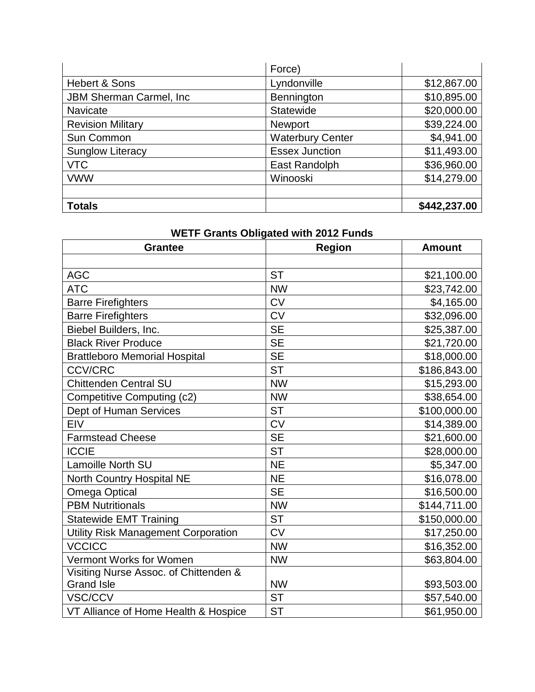|                          | Force)                  |              |
|--------------------------|-------------------------|--------------|
| Hebert & Sons            | Lyndonville             | \$12,867.00  |
| JBM Sherman Carmel, Inc. | Bennington              | \$10,895.00  |
| <b>Navicate</b>          | <b>Statewide</b>        | \$20,000.00  |
| <b>Revision Military</b> | Newport                 | \$39,224.00  |
| Sun Common               | <b>Waterbury Center</b> | \$4,941.00   |
| <b>Sunglow Literacy</b>  | <b>Essex Junction</b>   | \$11,493.00  |
| <b>VTC</b>               | East Randolph           | \$36,960.00  |
| <b>VWW</b>               | Winooski                | \$14,279.00  |
|                          |                         |              |
| <b>Totals</b>            |                         | \$442,237.00 |

## **WETF Grants Obligated with 2012 Funds**

| <b>Grantee</b>                             | <b>Region</b> | <b>Amount</b> |
|--------------------------------------------|---------------|---------------|
|                                            |               |               |
| <b>AGC</b>                                 | <b>ST</b>     | \$21,100.00   |
| <b>ATC</b>                                 | <b>NW</b>     | \$23,742.00   |
| <b>Barre Firefighters</b>                  | <b>CV</b>     | \$4,165.00    |
| <b>Barre Firefighters</b>                  | <b>CV</b>     | \$32,096.00   |
| Biebel Builders, Inc.                      | <b>SE</b>     | \$25,387.00   |
| <b>Black River Produce</b>                 | <b>SE</b>     | \$21,720.00   |
| <b>Brattleboro Memorial Hospital</b>       | <b>SE</b>     | \$18,000.00   |
| <b>CCV/CRC</b>                             | <b>ST</b>     | \$186,843.00  |
| <b>Chittenden Central SU</b>               | <b>NW</b>     | \$15,293.00   |
| Competitive Computing (c2)                 | <b>NW</b>     | \$38,654.00   |
| Dept of Human Services                     | <b>ST</b>     | \$100,000.00  |
| <b>EIV</b>                                 | <b>CV</b>     | \$14,389.00   |
| <b>Farmstead Cheese</b>                    | <b>SE</b>     | \$21,600.00   |
| <b>ICCIE</b>                               | <b>ST</b>     | \$28,000.00   |
| <b>Lamoille North SU</b>                   | <b>NE</b>     | \$5,347.00    |
| North Country Hospital NE                  | <b>NE</b>     | \$16,078.00   |
| <b>Omega Optical</b>                       | <b>SE</b>     | \$16,500.00   |
| <b>PBM Nutritionals</b>                    | <b>NW</b>     | \$144,711.00  |
| <b>Statewide EMT Training</b>              | <b>ST</b>     | \$150,000.00  |
| <b>Utility Risk Management Corporation</b> | <b>CV</b>     | \$17,250.00   |
| <b>VCCICC</b>                              | <b>NW</b>     | \$16,352.00   |
| Vermont Works for Women                    | <b>NW</b>     | \$63,804.00   |
| Visiting Nurse Assoc. of Chittenden &      |               |               |
| <b>Grand Isle</b>                          | <b>NW</b>     | \$93,503.00   |
| VSC/CCV                                    | <b>ST</b>     | \$57,540.00   |
| VT Alliance of Home Health & Hospice       | <b>ST</b>     | \$61,950.00   |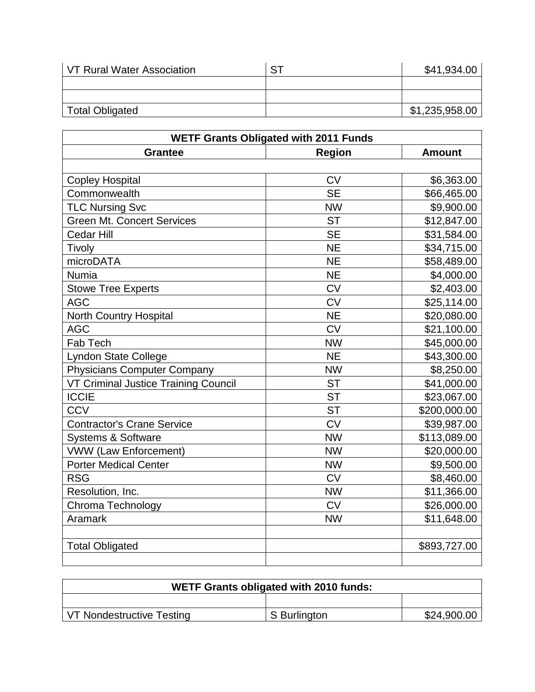| VT Rural Water Association | ⌒⊤ | \$41,934.00    |
|----------------------------|----|----------------|
|                            |    |                |
|                            |    |                |
| <b>Total Obligated</b>     |    | \$1,235,958.00 |

| <b>WETF Grants Obligated with 2011 Funds</b> |               |               |
|----------------------------------------------|---------------|---------------|
| <b>Grantee</b>                               | <b>Region</b> | <b>Amount</b> |
|                                              |               |               |
| <b>Copley Hospital</b>                       | <b>CV</b>     | \$6,363.00    |
| Commonwealth                                 | <b>SE</b>     | \$66,465.00   |
| <b>TLC Nursing Svc</b>                       | <b>NW</b>     | \$9,900.00    |
| <b>Green Mt. Concert Services</b>            | <b>ST</b>     | \$12,847.00   |
| <b>Cedar Hill</b>                            | <b>SE</b>     | \$31,584.00   |
| Tivoly                                       | <b>NE</b>     | \$34,715.00   |
| microDATA                                    | <b>NE</b>     | \$58,489.00   |
| <b>Numia</b>                                 | <b>NE</b>     | \$4,000.00    |
| <b>Stowe Tree Experts</b>                    | <b>CV</b>     | \$2,403.00    |
| <b>AGC</b>                                   | <b>CV</b>     | \$25,114.00   |
| <b>North Country Hospital</b>                | <b>NE</b>     | \$20,080.00   |
| <b>AGC</b>                                   | <b>CV</b>     | \$21,100.00   |
| Fab Tech                                     | <b>NW</b>     | \$45,000.00   |
| Lyndon State College                         | <b>NE</b>     | \$43,300.00   |
| <b>Physicians Computer Company</b>           | <b>NW</b>     | \$8,250.00    |
| <b>VT Criminal Justice Training Council</b>  | <b>ST</b>     | \$41,000.00   |
| <b>ICCIE</b>                                 | <b>ST</b>     | \$23,067.00   |
| <b>CCV</b>                                   | <b>ST</b>     | \$200,000.00  |
| <b>Contractor's Crane Service</b>            | <b>CV</b>     | \$39,987.00   |
| <b>Systems &amp; Software</b>                | <b>NW</b>     | \$113,089.00  |
| <b>VWW (Law Enforcement)</b>                 | <b>NW</b>     | \$20,000.00   |
| <b>Porter Medical Center</b>                 | <b>NW</b>     | \$9,500.00    |
| <b>RSG</b>                                   | <b>CV</b>     | \$8,460.00    |
| Resolution, Inc.                             | <b>NW</b>     | \$11,366.00   |
| Chroma Technology                            | <b>CV</b>     | \$26,000.00   |
| Aramark                                      | <b>NW</b>     | \$11,648.00   |
|                                              |               |               |
| <b>Total Obligated</b>                       |               | \$893,727.00  |
|                                              |               |               |

| WETF Grants obligated with 2010 funds: |              |             |  |
|----------------------------------------|--------------|-------------|--|
|                                        |              |             |  |
| VT Nondestructive Testing              | S Burlington | \$24,900.00 |  |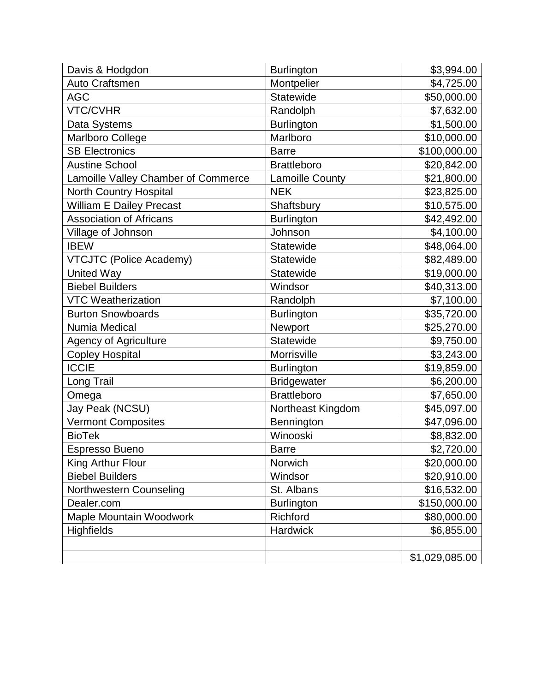| Davis & Hodgdon                     | <b>Burlington</b>      | \$3,994.00     |
|-------------------------------------|------------------------|----------------|
| <b>Auto Craftsmen</b>               | Montpelier             | \$4,725.00     |
| <b>AGC</b>                          | <b>Statewide</b>       | \$50,000.00    |
| <b>VTC/CVHR</b>                     | Randolph               | \$7,632.00     |
| Data Systems                        | <b>Burlington</b>      | \$1,500.00     |
| Marlboro College                    | Marlboro               | \$10,000.00    |
| <b>SB Electronics</b>               | <b>Barre</b>           | \$100,000.00   |
| <b>Austine School</b>               | <b>Brattleboro</b>     | \$20,842.00    |
| Lamoille Valley Chamber of Commerce | <b>Lamoille County</b> | \$21,800.00    |
| North Country Hospital              | <b>NEK</b>             | \$23,825.00    |
| <b>William E Dailey Precast</b>     | Shaftsbury             | \$10,575.00    |
| <b>Association of Africans</b>      | <b>Burlington</b>      | \$42,492.00    |
| Village of Johnson                  | Johnson                | \$4,100.00     |
| <b>IBEW</b>                         | <b>Statewide</b>       | \$48,064.00    |
| <b>VTCJTC (Police Academy)</b>      | Statewide              | \$82,489.00    |
| <b>United Way</b>                   | Statewide              | \$19,000.00    |
| <b>Biebel Builders</b>              | Windsor                | \$40,313.00    |
| <b>VTC Weatherization</b>           | Randolph               | \$7,100.00     |
| <b>Burton Snowboards</b>            | <b>Burlington</b>      | \$35,720.00    |
| Numia Medical                       | Newport                | \$25,270.00    |
| <b>Agency of Agriculture</b>        | Statewide              | \$9,750.00     |
| <b>Copley Hospital</b>              | Morrisville            | \$3,243.00     |
| <b>ICCIE</b>                        | <b>Burlington</b>      | \$19,859.00    |
| Long Trail                          | <b>Bridgewater</b>     | \$6,200.00     |
| Omega                               | <b>Brattleboro</b>     | \$7,650.00     |
| Jay Peak (NCSU)                     | Northeast Kingdom      | \$45,097.00    |
| <b>Vermont Composites</b>           | Bennington             | \$47,096.00    |
| <b>BioTek</b>                       | Winooski               | \$8,832.00     |
| <b>Espresso Bueno</b>               | <b>Barre</b>           | \$2,720.00     |
| King Arthur Flour                   | Norwich                | \$20,000.00    |
| <b>Biebel Builders</b>              | Windsor                | \$20,910.00    |
| Northwestern Counseling             | St. Albans             | \$16,532.00    |
| Dealer.com                          | <b>Burlington</b>      | \$150,000.00   |
| Maple Mountain Woodwork             | Richford               | \$80,000.00    |
| <b>Highfields</b>                   | <b>Hardwick</b>        | \$6,855.00     |
|                                     |                        |                |
|                                     |                        | \$1,029,085.00 |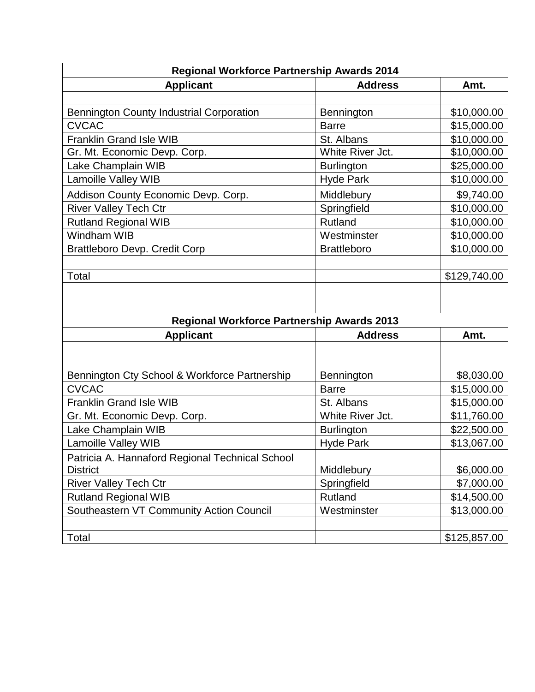| <b>Regional Workforce Partnership Awards 2014</b> |                    |              |
|---------------------------------------------------|--------------------|--------------|
| <b>Applicant</b>                                  | <b>Address</b>     | Amt.         |
|                                                   |                    |              |
| <b>Bennington County Industrial Corporation</b>   | Bennington         | \$10,000.00  |
| <b>CVCAC</b>                                      | <b>Barre</b>       | \$15,000.00  |
| <b>Franklin Grand Isle WIB</b>                    | St. Albans         | \$10,000.00  |
| Gr. Mt. Economic Devp. Corp.                      | White River Jct.   | \$10,000.00  |
| Lake Champlain WIB                                | <b>Burlington</b>  | \$25,000.00  |
| <b>Lamoille Valley WIB</b>                        | <b>Hyde Park</b>   | \$10,000.00  |
| Addison County Economic Devp. Corp.               | Middlebury         | \$9,740.00   |
| <b>River Valley Tech Ctr</b>                      | Springfield        | \$10,000.00  |
| <b>Rutland Regional WIB</b>                       | Rutland            | \$10,000.00  |
| <b>Windham WIB</b>                                | Westminster        | \$10,000.00  |
| <b>Brattleboro Devp. Credit Corp</b>              | <b>Brattleboro</b> | \$10,000.00  |
|                                                   |                    |              |
| Total                                             |                    | \$129,740.00 |
|                                                   |                    |              |
| <b>Regional Workforce Partnership Awards 2013</b> |                    |              |
| <b>Applicant</b>                                  | <b>Address</b>     | Amt.         |
|                                                   |                    |              |
| Bennington Cty School & Workforce Partnership     | Bennington         | \$8,030.00   |
| <b>CVCAC</b>                                      | <b>Barre</b>       | \$15,000.00  |
| <b>Franklin Grand Isle WIB</b>                    | St. Albans         | \$15,000.00  |
| Gr. Mt. Economic Devp. Corp.                      | White River Jct.   | \$11,760.00  |
| Lake Champlain WIB                                | Burlington         | \$22,500.00  |
| Lamoille Valley WIB                               | <b>Hyde Park</b>   | \$13,067.00  |
| Patricia A. Hannaford Regional Technical School   |                    |              |
| <b>District</b>                                   | Middlebury         | \$6,000.00   |
| <b>River Valley Tech Ctr</b>                      | Springfield        | \$7,000.00   |
| <b>Rutland Regional WIB</b>                       | Rutland            | \$14,500.00  |
| Southeastern VT Community Action Council          | Westminster        | \$13,000.00  |
|                                                   |                    |              |
| Total                                             |                    | \$125,857.00 |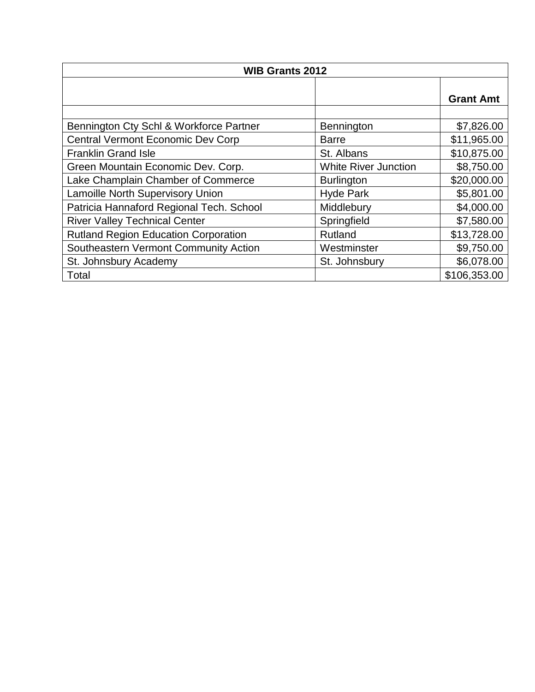| <b>WIB Grants 2012</b>                      |                             |                  |
|---------------------------------------------|-----------------------------|------------------|
|                                             |                             | <b>Grant Amt</b> |
|                                             |                             |                  |
| Bennington Cty Schl & Workforce Partner     | Bennington                  | \$7,826.00       |
| <b>Central Vermont Economic Dev Corp</b>    | <b>Barre</b>                | \$11,965.00      |
| <b>Franklin Grand Isle</b>                  | St. Albans                  | \$10,875.00      |
| Green Mountain Economic Dev. Corp.          | <b>White River Junction</b> | \$8,750.00       |
| Lake Champlain Chamber of Commerce          | <b>Burlington</b>           | \$20,000.00      |
| <b>Lamoille North Supervisory Union</b>     | <b>Hyde Park</b>            | \$5,801.00       |
| Patricia Hannaford Regional Tech. School    | Middlebury                  | \$4,000.00       |
| <b>River Valley Technical Center</b>        | Springfield                 | \$7,580.00       |
| <b>Rutland Region Education Corporation</b> | Rutland                     | \$13,728.00      |
| Southeastern Vermont Community Action       | Westminster                 | \$9,750.00       |
| St. Johnsbury Academy                       | St. Johnsbury               | \$6,078.00       |
| Total                                       |                             | \$106,353.00     |